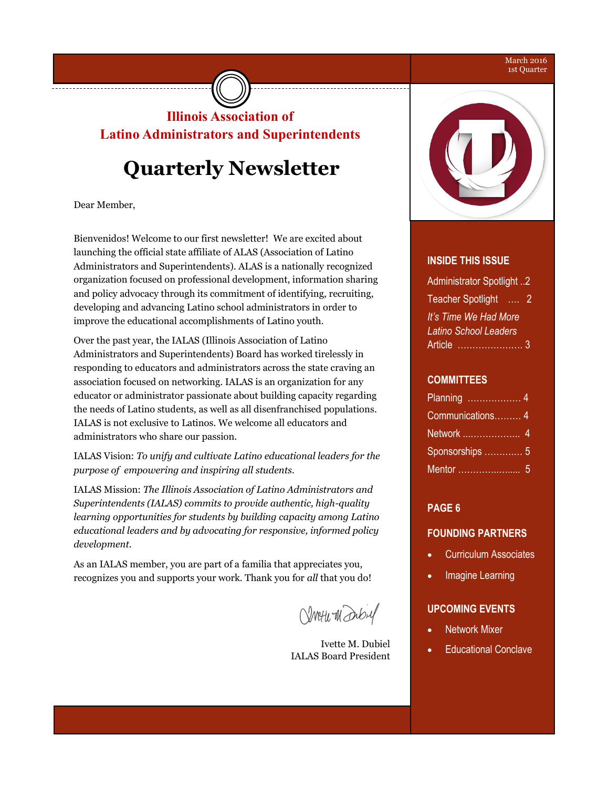#### March 2016 1st Quarter

### **Illinois Association of Latino Administrators and Superintendents**

# **Quarterly Newsletter**

Dear Member,

------------------------------

Bienvenidos! Welcome to our first newsletter! We are excited about launching the official state affiliate of ALAS (Association of Latino Administrators and Superintendents). ALAS is a nationally recognized organization focused on professional development, information sharing and policy advocacy through its commitment of identifying, recruiting, developing and advancing Latino school administrators in order to improve the educational accomplishments of Latino youth.

Over the past year, the IALAS (Illinois Association of Latino Administrators and Superintendents) Board has worked tirelessly in responding to educators and administrators across the state craving an association focused on networking. IALAS is an organization for any educator or administrator passionate about building capacity regarding the needs of Latino students, as well as all disenfranchised populations. IALAS is not exclusive to Latinos. We welcome all educators and administrators who share our passion.

IALAS Vision: *To unify and cultivate Latino educational leaders for the purpose of empowering and inspiring all students.*

IALAS Mission: *The Illinois Association of Latino Administrators and Superintendents (IALAS) commits to provide authentic, high-quality learning opportunities for students by building capacity among Latino educational leaders and by advocating for responsive, informed policy development.*

As an IALAS member, you are part of a familia that appreciates you, recognizes you and supports your work. Thank you for *all* that you do!

Vivetu Wanbul

Ivette M. Dubiel IALAS Board President



#### **INSIDE THIS ISSUE**

| Administrator Spotlight 2                  |   |
|--------------------------------------------|---|
| <b>Teacher Spotlight</b><br>$\overline{1}$ | 2 |
| It's Time We Had More                      |   |
| <b>Latino School Leaders</b>               |   |
| Article                                    |   |

#### **COMMITTEES**

| Communications 4 |  |
|------------------|--|
|                  |  |
| Sponsorships  5  |  |
|                  |  |

### **PAGE 6**

### **FOUNDING PARTNERS**

- Curriculum Associates
- Imagine Learning

### **UPCOMING EVENTS**

- Network Mixer
- Educational Conclave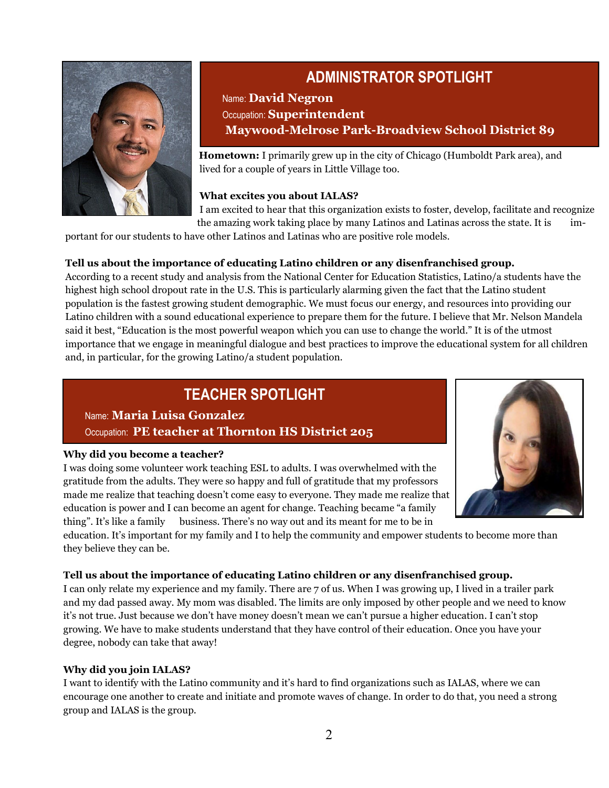

### **ADMINISTRATOR SPOTLIGHT**

### Name: **David Negron** Occupation: **Superintendent Maywood-Melrose Park-Broadview School District 89**

 **Hometown:** I primarily grew up in the city of Chicago (Humboldt Park area), and lived for a couple of years in Little Village too.

### **What excites you about IALAS?**

I am excited to hear that this organization exists to foster, develop, facilitate and recognize the amazing work taking place by many Latinos and Latinas across the state. It is im-

portant for our students to have other Latinos and Latinas who are positive role models.

### **Tell us about the importance of educating Latino children or any disenfranchised group.**

According to a recent study and analysis from the National Center for Education Statistics, Latino/a students have the highest high school dropout rate in the U.S. This is particularly alarming given the fact that the Latino student population is the fastest growing student demographic. We must focus our energy, and resources into providing our Latino children with a sound educational experience to prepare them for the future. I believe that Mr. Nelson Mandela said it best, "Education is the most powerful weapon which you can use to change the world." It is of the utmost importance that we engage in meaningful dialogue and best practices to improve the educational system for all children and, in particular, for the growing Latino/a student population.

### **TEACHER SPOTLIGHT**

Name: **Maria Luisa Gonzalez** Occupation: **PE teacher at Thornton HS District 205** 

### **Why did you become a teacher?**

I was doing some volunteer work teaching ESL to adults. I was overwhelmed with the gratitude from the adults. They were so happy and full of gratitude that my professors made me realize that teaching doesn't come easy to everyone. They made me realize that education is power and I can become an agent for change. Teaching became "a family thing". It's like a family business. There's no way out and its meant for me to be in



education. It's important for my family and I to help the community and empower students to become more than they believe they can be.

### **Tell us about the importance of educating Latino children or any disenfranchised group.**

I can only relate my experience and my family. There are 7 of us. When I was growing up, I lived in a trailer park and my dad passed away. My mom was disabled. The limits are only imposed by other people and we need to know it's not true. Just because we don't have money doesn't mean we can't pursue a higher education. I can't stop growing. We have to make students understand that they have control of their education. Once you have your degree, nobody can take that away!

### **Why did you join IALAS?**

I want to identify with the Latino community and it's hard to find organizations such as IALAS, where we can encourage one another to create and initiate and promote waves of change. In order to do that, you need a strong group and IALAS is the group.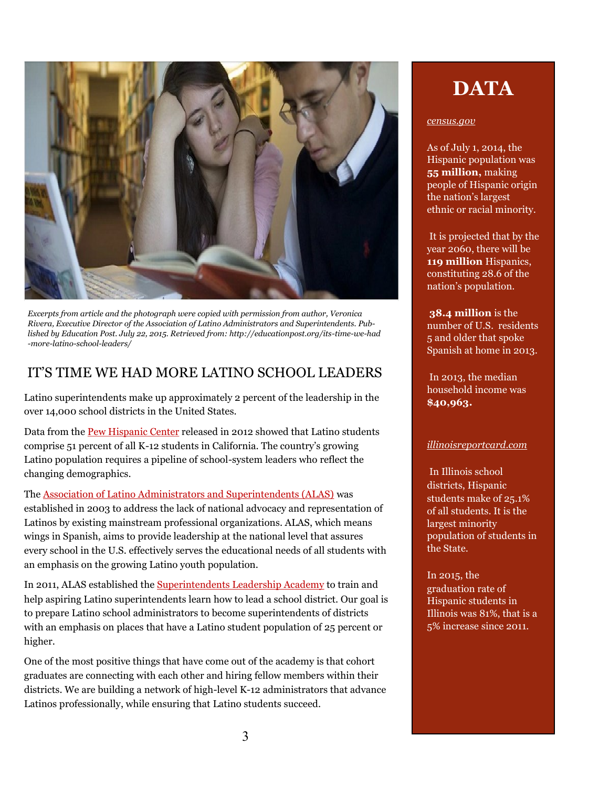

*Excerpts from article and the photograph were copied with permission from author, Veronica Rivera, Executive Director of the Association of Latino Administrators and Superintendents. Published by Education Post. July 22, 2015. Retrieved from: http://educationpost.org/its-time-we-had -more-latino-school-leaders/*

### IT'S TIME WE HAD MORE LATINO SCHOOL LEADERS

Latino superintendents make up approximately 2 percent of the leadership in the over 14,000 school districts in the United States.

Data from the [Pew Hispanic Center](http://www.pewhispanic.org/states/ccfs1.d204.ipsd.net/cec_staff/ivette_dubiel/Documents/cache) released in 2012 showed that Latino students comprise 51 percent of all K-12 students in California. The country's growing Latino population requires a pipeline of school-system leaders who reflect the changing demographics.

The [Association of Latino Administrators and Superintendents \(ALAS\)](http://alasedu.drupalgardens.com/ccfs1.d204.ipsd.net/cec_staff/ivette_dubiel/Documents/cache) was established in 2003 to address the lack of national advocacy and representation of Latinos by existing mainstream professional organizations. ALAS, which means wings in Spanish, aims to provide leadership at the national level that assures every school in the U.S. effectively serves the educational needs of all students with an emphasis on the growing Latino youth population.

In 2011, ALAS established the [Superintendents Leadership Academy](http://alasedu.drupalgardens.com/academy/leadership/ccfs1.d204.ipsd.net/cec_staff/ivette_dubiel/Documents/cache) to train and help aspiring Latino superintendents learn how to lead a school district. Our goal is to prepare Latino school administrators to become superintendents of districts with an emphasis on places that have a Latino student population of 25 percent or higher.

One of the most positive things that have come out of the academy is that cohort graduates are connecting with each other and hiring fellow members within their districts. We are building a network of high-level K-12 administrators that advance Latinos professionally, while ensuring that Latino students succeed.

# **DATA**

### *census.gov*

As of July 1, 2014, the Hispanic population was **55 million,** making people of Hispanic origin the nation's largest ethnic or racial minority.

It is projected that by the year 2060, there will be **119 million** Hispanics, constituting 28.6 of the nation's population.

**38.4 million** is the number of U.S. residents 5 and older that spoke Spanish at home in 2013.

In 2013, the median household income was **\$40,963.**

### *illinoisreportcard.com*

In Illinois school districts, Hispanic students make of 25.1% of all students. It is the largest minority population of students in the State.

In 2015, the graduation rate of Hispanic students in Illinois was 81%, that is a 5% increase since 2011.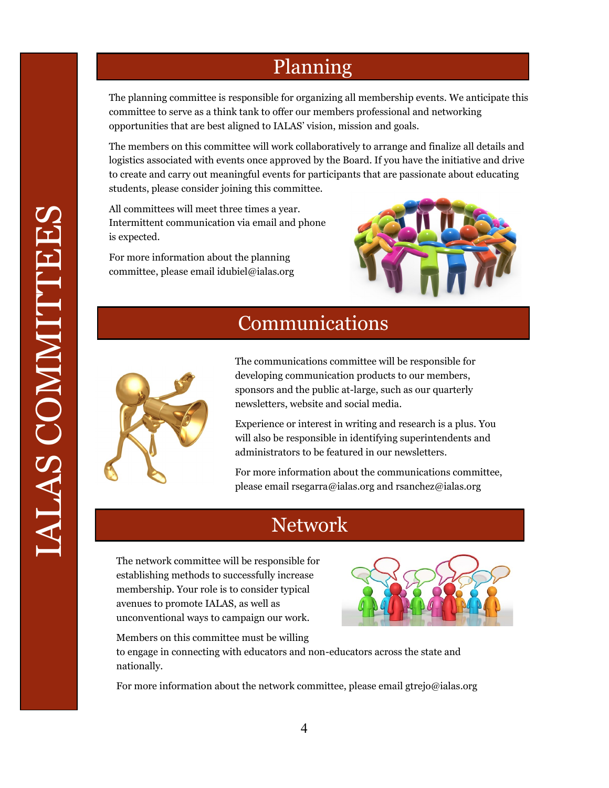# Planning

The planning committee is responsible for organizing all membership events. We anticipate this committee to serve as a think tank to offer our members professional and networking opportunities that are best aligned to IALAS' vision, mission and goals.

The members on this committee will work collaboratively to arrange and finalize all details and logistics associated with events once approved by the Board. If you have the initiative and drive to create and carry out meaningful events for participants that are passionate about educating students, please consider joining this committee.

All committees will meet three times a year. Intermittent communication via email and phone is expected.

For more information about the planning committee, please email idubiel@ialas.org



# Communications



The communications committee will be responsible for developing communication products to our members, sponsors and the public at-large, such as our quarterly newsletters, website and social media.

Experience or interest in writing and research is a plus. You will also be responsible in identifying superintendents and administrators to be featured in our newsletters.

For more information about the communications committee, please email rsegarra@ialas.org and rsanchez@ialas.org

# Network

The network committee will be responsible for establishing methods to successfully increase membership. Your role is to consider typical avenues to promote IALAS, as well as unconventional ways to campaign our work.



Members on this committee must be willing to engage in connecting with educators and non-educators across the state and nationally.

For more information about the network committee, please email gtrejo@ialas.org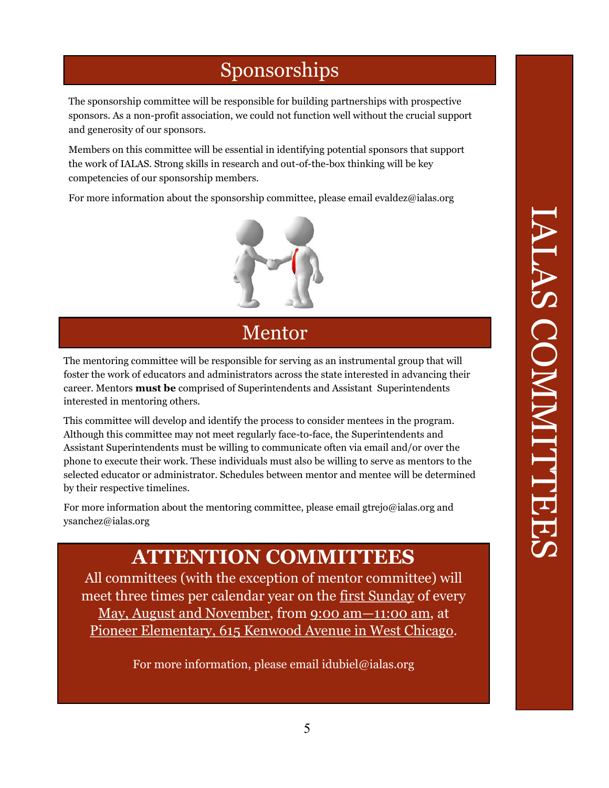# Sponsorships

The sponsorship committee will be responsible for building partnerships with prospective sponsors. As a non-profit association, we could not function well without the crucial support and generosity of our sponsors.

Members on this committee will be essential in identifying potential sponsors that support the work of IALAS. Strong skills in research and out-of-the-box thinking will be key competencies of our sponsorship members.

For more information about the sponsorship committee, please email evaldez@ialas.org



# Mentor

The mentoring committee will be responsible for serving as an instrumental group that will foster the work of educators and administrators across the state interested in advancing their career. Mentors **must be** comprised of Superintendents and Assistant Superintendents interested in mentoring others.

This committee will develop and identify the process to consider mentees in the program. Although this committee may not meet regularly face-to-face, the Superintendents and Assistant Superintendents must be willing to communicate often via email and/or over the phone to execute their work. These individuals must also be willing to serve as mentors to the selected educator or administrator. Schedules between mentor and mentee will be determined by their respective timelines.

For more information about the mentoring committee, please email gtrejo@ialas.org and ysanchez@ialas.org

# **ATTENTION COMMITTEES**

All committees (with the exception of mentor committee) will meet three times per calendar year on the first Sunday of every May, August and November, from 9:00 am—11:00 am, at Pioneer Elementary, 615 Kenwood Avenue in West Chicago.

For more information, please email idubiel@ialas.org